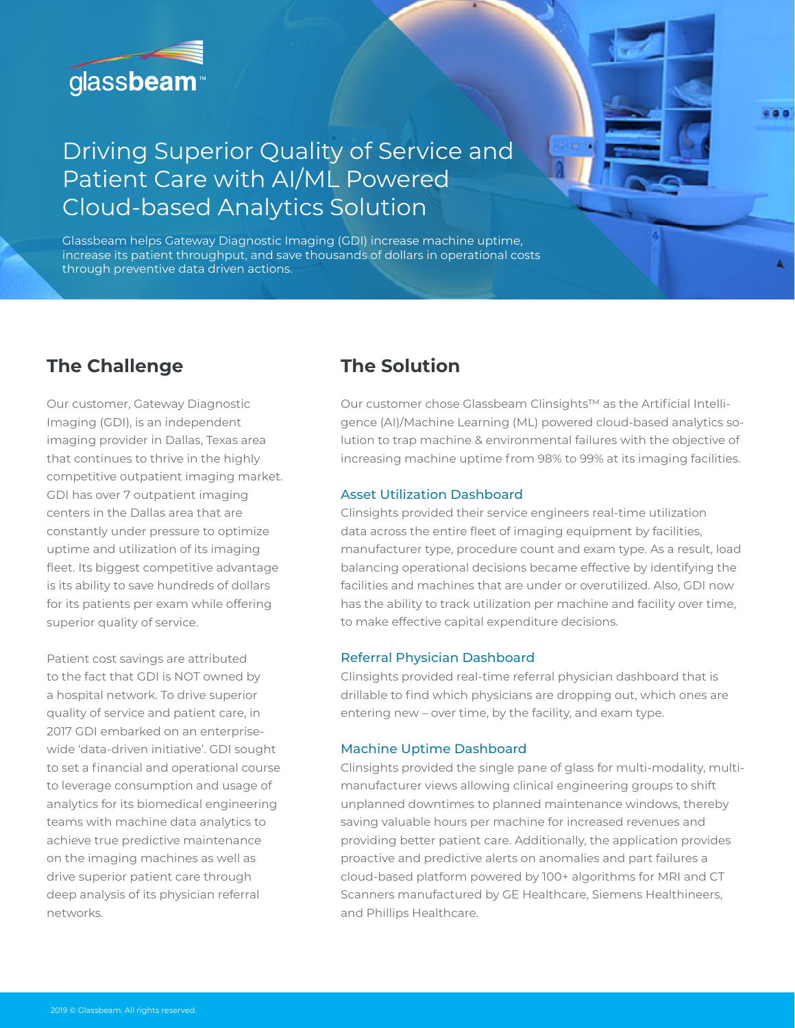

# Driving Superior Quality of Service and Patient Care with AI/ML Powered Cloud-based Analytics Solution

Glassbeam helps Gateway Diagnostic Imaging (GDI) increase machine uptime, increase its patient throughput, and save thousands of dollars in operational costs through preventive data driven actions.

### **The Challenge The Solution**

Our customer, Gateway Diagnostic Imaging (GDI), is an independent imaging provider in Dallas, Texas area that continues to thrive in the highly competitive outpatient imaging market. GDI has over 7 outpatient imaging centers in the Dallas area that are constantly under pressure to optimize uptime and utilization of its imaging fleet. Its biggest competitive advantage is its ability to save hundreds of dollars for its patients per exam while offering superior quality of service.

Patient cost savings are attributed to the fact that GDI is NOT owned by a hospital network. To drive superior quality of service and patient care, in 2017 GDI embarked on an enterprisewide 'data-driven initiative'. GDI sought to set a financial and operational course to leverage consumption and usage of analytics for its biomedical engineering teams with machine data analytics to achieve true predictive maintenance on the imaging machines as well as drive superior patient care through deep analysis of its physician referral networks.

Our customer chose Glassbeam Clinsights™ as the Artificial Intelligence (AI)/Machine Learning (ML) powered cloud-based analytics solution to trap machine & environmental failures with the objective of increasing machine uptime from 98% to 99% at its imaging facilities.

### Asset Utilization Dashboard

Clinsights provided their service engineers real-time utilization data across the entire fleet of imaging equipment by facilities, manufacturer type, procedure count and exam type. As a result, load balancing operational decisions became effective by identifying the facilities and machines that are under or overutilized. Also, GDI now has the ability to track utilization per machine and facility over time, to make effective capital expenditure decisions.

### Referral Physician Dashboard

Clinsights provided real-time referral physician dashboard that is drillable to find which physicians are dropping out, which ones are entering new – over time, by the facility, and exam type.

### Machine Uptime Dashboard

Clinsights provided the single pane of glass for multi-modality, multimanufacturer views allowing clinical engineering groups to shift unplanned downtimes to planned maintenance windows, thereby saving valuable hours per machine for increased revenues and providing better patient care. Additionally, the application provides proactive and predictive alerts on anomalies and part failures a cloud-based platform powered by 100+ algorithms for MRI and CT Scanners manufactured by GE Healthcare, Siemens Healthineers, and Phillips Healthcare.